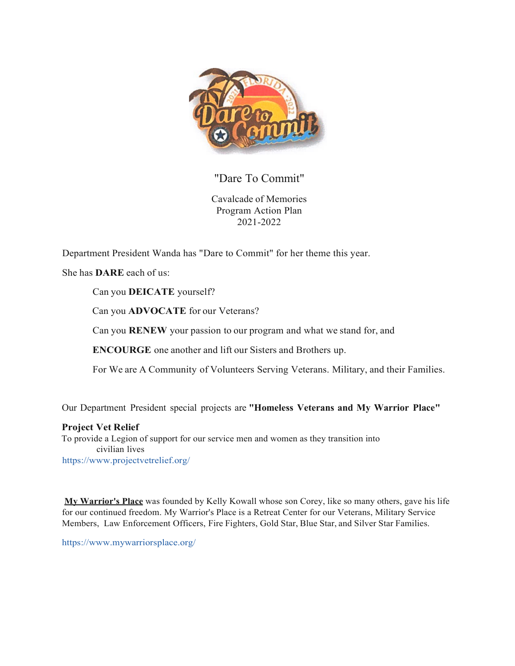

"Dare To Commit"

Cavalcade of Memories Program Action Plan 2021-2022

Department President Wanda has "Dare to Commit" for her theme this year.

She has **DARE** each of us:

Can you **DEICATE** yourself?

Can you **ADVOCATE** for our Veterans?

Can you **RENEW** your passion to our program and what we stand for, and

**ENCOURGE** one another and lift our Sisters and Brothers up.

For We are A Community of Volunteers Serving Veterans. Military, and their Families.

Our Department President special projects are **"Homeless Veterans and My Warrior Place"**

**Project Vet Relief**

To provide a Legion of support for our service men and women as they transition into civilian lives [https://www.projectvetrelief.org/](http://www.projectvetrelief.org/)

**My Warrior's Place** was founded by Kelly Kowall whose son Corey, like so many others, gave his life for our continued freedom. My Warrior's Place is a Retreat Center for our Veterans, Military Service Members, Law Enforcement Officers, Fire Fighters, Gold Star, Blue Star, and Silver Star Families.

[https://www.mywarriorsplace.org/](http://www.mywarriorsplace.org/)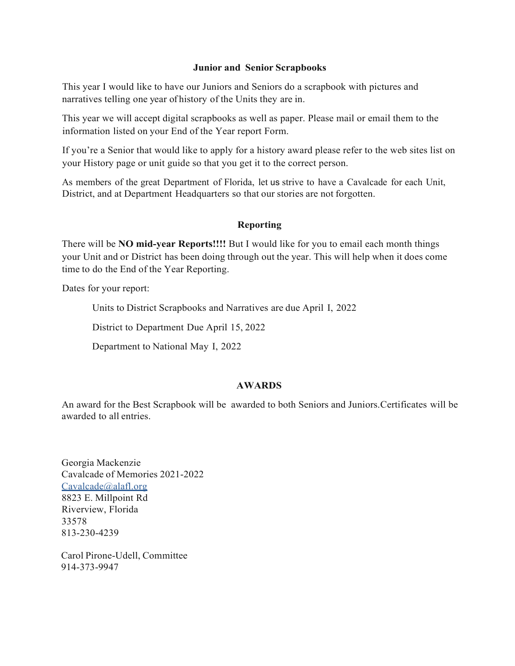## **Junior and Senior Scrapbooks**

This year I would like to have our Juniors and Seniors do a scrapbook with pictures and narratives telling one year of history of the Units they are in.

This year we will accept digital scrapbooks as well as paper. Please mail or email them to the information listed on your End of the Year report Form.

If you're a Senior that would like to apply for a history award please refer to the web sites list on your History page or unit guide so that you get it to the correct person.

As members of the great Department of Florida, let us strive to have a Cavalcade for each Unit, District, and at Department Headquarters so that our stories are not forgotten.

## **Reporting**

There will be **NO mid-year Reports!!!!** But I would like for you to email each month things your Unit and or District has been doing through out the year. This will help when it does come time to do the End of the Year Reporting.

Dates for your report:

Units to District Scrapbooks and Narratives are due April I, 2022

District to Department Due April 15, 2022

Department to National May I, 2022

## **AWARDS**

An award for the Best Scrapbook will be awarded to both Seniors and Juniors.Certificates will be awarded to all entries.

Georgia Mackenzie Cavalcade of Memories 2021-2022 [Cavalcade@alafl.org](mailto:Cavalcade@alafl.org) 8823 E. Millpoint Rd Riverview, Florida 33578 813-230-4239

Carol Pirone-Udell, Committee 914-373-9947